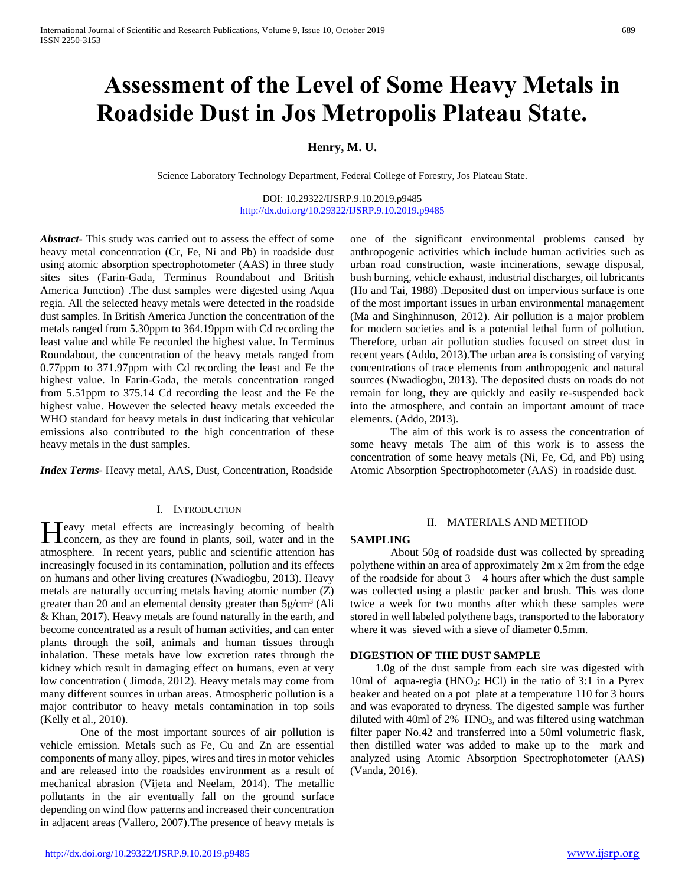# **Assessment of the Level of Some Heavy Metals in Roadside Dust in Jos Metropolis Plateau State.**

# **Henry, M. U.**

Science Laboratory Technology Department, Federal College of Forestry, Jos Plateau State.

DOI: 10.29322/IJSRP.9.10.2019.p9485 <http://dx.doi.org/10.29322/IJSRP.9.10.2019.p9485>

*Abstract***-** This study was carried out to assess the effect of some heavy metal concentration (Cr, Fe, Ni and Pb) in roadside dust using atomic absorption spectrophotometer (AAS) in three study sites sites (Farin-Gada, Terminus Roundabout and British America Junction) .The dust samples were digested using Aqua regia. All the selected heavy metals were detected in the roadside dust samples. In British America Junction the concentration of the metals ranged from 5.30ppm to 364.19ppm with Cd recording the least value and while Fe recorded the highest value. In Terminus Roundabout, the concentration of the heavy metals ranged from 0.77ppm to 371.97ppm with Cd recording the least and Fe the highest value. In Farin-Gada, the metals concentration ranged from 5.51ppm to 375.14 Cd recording the least and the Fe the highest value. However the selected heavy metals exceeded the WHO standard for heavy metals in dust indicating that vehicular emissions also contributed to the high concentration of these heavy metals in the dust samples.

*Index Terms*- Heavy metal, AAS, Dust, Concentration, Roadside

#### I. INTRODUCTION

**Teavy** metal effects are increasingly becoming of health Heavy metal effects are increasingly becoming of health concern, as they are found in plants, soil, water and in the atmosphere. In recent years, public and scientific attention has increasingly focused in its contamination, pollution and its effects on humans and other living creatures (Nwadiogbu, 2013). Heavy metals are naturally occurring metals having atomic number (Z) greater than 20 and an elemental density greater than 5g/cm<sup>3</sup> (Ali & Khan, 2017). Heavy metals are found naturally in the earth, and become concentrated as a result of human activities, and can enter plants through the soil, animals and human tissues through inhalation. These metals have low excretion rates through the kidney which result in damaging effect on humans, even at very low concentration ( Jimoda, 2012). Heavy metals may come from many different sources in urban areas. Atmospheric pollution is a major contributor to heavy metals contamination in top soils (Kelly et al., 2010).

One of the most important sources of air pollution is vehicle emission. Metals such as Fe, Cu and Zn are essential components of many alloy, pipes, wires and tires in motor vehicles and are released into the roadsides environment as a result of mechanical abrasion (Vijeta and Neelam, 2014). The metallic pollutants in the air eventually fall on the ground surface depending on wind flow patterns and increased their concentration in adjacent areas (Vallero, 2007).The presence of heavy metals is

one of the significant environmental problems caused by anthropogenic activities which include human activities such as urban road construction, waste incinerations, sewage disposal, bush burning, vehicle exhaust, industrial discharges, oil lubricants (Ho and Tai, 1988) .Deposited dust on impervious surface is one of the most important issues in urban environmental management (Ma and Singhinnuson, 2012). Air pollution is a major problem for modern societies and is a potential lethal form of pollution. Therefore, urban air pollution studies focused on street dust in recent years (Addo, 2013).The urban area is consisting of varying concentrations of trace elements from anthropogenic and natural sources (Nwadiogbu, 2013). The deposited dusts on roads do not remain for long, they are quickly and easily re-suspended back into the atmosphere, and contain an important amount of trace elements. (Addo, 2013).

The aim of this work is to assess the concentration of some heavy metals The aim of this work is to assess the concentration of some heavy metals (Ni, Fe, Cd, and Pb) using Atomic Absorption Spectrophotometer (AAS) in roadside dust.

## II. MATERIALS AND METHOD

#### **SAMPLING**

About 50g of roadside dust was collected by spreading polythene within an area of approximately 2m x 2m from the edge of the roadside for about  $3 - 4$  hours after which the dust sample was collected using a plastic packer and brush. This was done twice a week for two months after which these samples were stored in well labeled polythene bags, transported to the laboratory where it was sieved with a sieve of diameter 0.5mm.

### **DIGESTION OF THE DUST SAMPLE**

 1.0g of the dust sample from each site was digested with 10ml of aqua-regia (HNO<sub>3</sub>: HCl) in the ratio of  $3:1$  in a Pyrex beaker and heated on a pot plate at a temperature 110 for 3 hours and was evaporated to dryness. The digested sample was further diluted with 40ml of  $2\%$  HNO<sub>3</sub>, and was filtered using watchman filter paper No.42 and transferred into a 50ml volumetric flask, then distilled water was added to make up to the mark and analyzed using Atomic Absorption Spectrophotometer (AAS) (Vanda, 2016).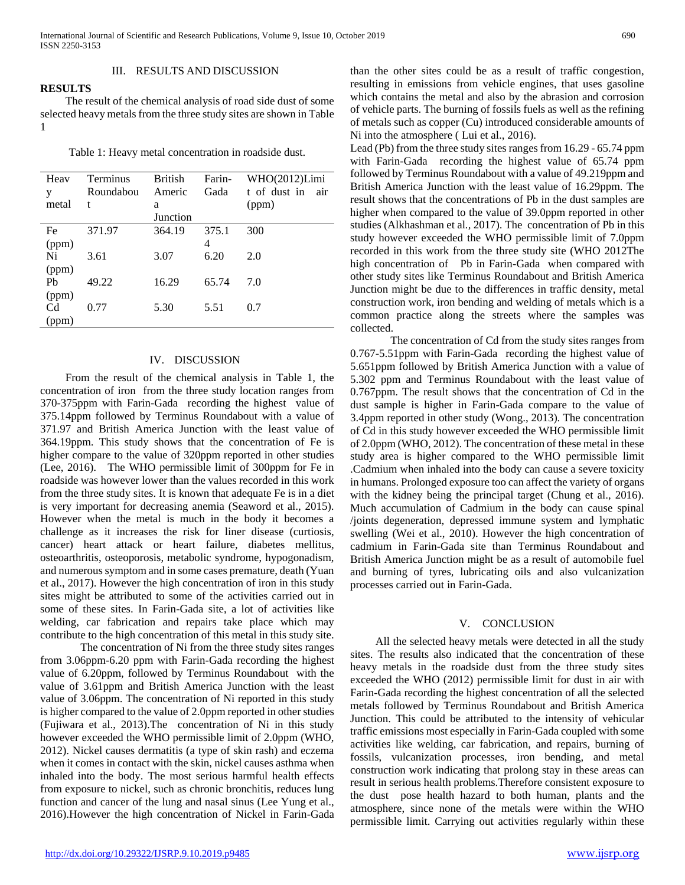## III. RESULTS AND DISCUSSION

**RESULTS** The result of the chemical analysis of road side dust of some selected heavy metals from the three study sites are shown in Table 1

Table 1: Heavy metal concentration in roadside dust.

| Heav           | Terminus  | <b>British</b> | Farin- | WHO(2012)Limi       |
|----------------|-----------|----------------|--------|---------------------|
| y              | Roundabou | Americ         | Gada   | t of dust in<br>air |
| metal          | t         | a              |        | (ppm)               |
|                |           | Junction       |        |                     |
| Fe             | 371.97    | 364.19         | 375.1  | 300                 |
| (ppm)          |           |                | 4      |                     |
| Ni             | 3.61      | 3.07           | 6.20   | 2.0                 |
| (ppm)          |           |                |        |                     |
| Pb             | 49.22     | 16.29          | 65.74  | 7.0                 |
| (ppm)          |           |                |        |                     |
| C <sub>d</sub> | 0.77      | 5.30           | 5.51   | 0.7                 |
| (ppm)          |           |                |        |                     |

#### IV. DISCUSSION

 From the result of the chemical analysis in Table 1, the concentration of iron from the three study location ranges from 370-375ppm with Farin-Gada recording the highest value of 375.14ppm followed by Terminus Roundabout with a value of 371.97 and British America Junction with the least value of 364.19ppm. This study shows that the concentration of Fe is higher compare to the value of 320ppm reported in other studies (Lee, 2016). The WHO permissible limit of 300ppm for Fe in roadside was however lower than the values recorded in this work from the three study sites. It is known that adequate Fe is in a diet is very important for decreasing anemia (Seaword et al., 2015). However when the metal is much in the body it becomes a challenge as it increases the risk for liner disease (curtiosis, cancer) heart attack or heart failure, diabetes mellitus, osteoarthritis, osteoporosis, metabolic syndrome, hypogonadism, and numerous symptom and in some cases premature, death (Yuan et al., 2017). However the high concentration of iron in this study sites might be attributed to some of the activities carried out in some of these sites. In Farin-Gada site, a lot of activities like welding, car fabrication and repairs take place which may contribute to the high concentration of this metal in this study site.

The concentration of Ni from the three study sites ranges from 3.06ppm-6.20 ppm with Farin-Gada recording the highest value of 6.20ppm, followed by Terminus Roundabout with the value of 3.61ppm and British America Junction with the least value of 3.06ppm. The concentration of Ni reported in this study is higher compared to the value of 2.0ppm reported in other studies (Fujiwara et al., 2013).The concentration of Ni in this study however exceeded the WHO permissible limit of 2.0ppm (WHO, 2012). Nickel causes dermatitis (a type of skin rash) and eczema when it comes in contact with the skin, nickel causes asthma when inhaled into the body. The most serious harmful health effects from exposure to nickel, such as chronic bronchitis, reduces lung function and cancer of the lung and nasal sinus (Lee Yung et al., 2016).However the high concentration of Nickel in Farin-Gada than the other sites could be as a result of traffic congestion, resulting in emissions from vehicle engines, that uses gasoline which contains the metal and also by the abrasion and corrosion of vehicle parts. The burning of fossils fuels as well as the refining of metals such as copper (Cu) introduced considerable amounts of Ni into the atmosphere ( Lui et al., 2016).

Lead (Pb) from the three study sites ranges from 16.29 - 65.74 ppm with Farin-Gada recording the highest value of 65.74 ppm followed by Terminus Roundabout with a value of 49.219ppm and British America Junction with the least value of 16.29ppm. The result shows that the concentrations of Pb in the dust samples are higher when compared to the value of 39.0ppm reported in other studies (Alkhashman et al*.,* 2017). The concentration of Pb in this study however exceeded the WHO permissible limit of 7.0ppm recorded in this work from the three study site (WHO 2012The high concentration of Pb in Farin-Gada when compared with other study sites like Terminus Roundabout and British America Junction might be due to the differences in traffic density, metal construction work, iron bending and welding of metals which is a common practice along the streets where the samples was collected.

The concentration of Cd from the study sites ranges from 0.767-5.51ppm with Farin-Gada recording the highest value of 5.651ppm followed by British America Junction with a value of 5.302 ppm and Terminus Roundabout with the least value of 0.767ppm. The result shows that the concentration of Cd in the dust sample is higher in Farin-Gada compare to the value of 3.4ppm reported in other study (Wong., 2013). The concentration of Cd in this study however exceeded the WHO permissible limit of 2.0ppm (WHO, 2012). The concentration of these metal in these study area is higher compared to the WHO permissible limit .Cadmium when inhaled into the body can cause a severe toxicity in humans. Prolonged exposure too can affect the variety of organs with the kidney being the principal target (Chung et al., 2016). Much accumulation of Cadmium in the body can cause spinal /joints degeneration, depressed immune system and lymphatic swelling (Wei et al., 2010). However the high concentration of cadmium in Farin-Gada site than Terminus Roundabout and British America Junction might be as a result of automobile fuel and burning of tyres, lubricating oils and also vulcanization processes carried out in Farin-Gada.

### V. CONCLUSION

 All the selected heavy metals were detected in all the study sites. The results also indicated that the concentration of these heavy metals in the roadside dust from the three study sites exceeded the WHO (2012) permissible limit for dust in air with Farin-Gada recording the highest concentration of all the selected metals followed by Terminus Roundabout and British America Junction. This could be attributed to the intensity of vehicular traffic emissions most especially in Farin-Gada coupled with some activities like welding, car fabrication, and repairs, burning of fossils, vulcanization processes, iron bending, and metal construction work indicating that prolong stay in these areas can result in serious health problems.Therefore consistent exposure to the dust pose health hazard to both human, plants and the atmosphere, since none of the metals were within the WHO permissible limit. Carrying out activities regularly within these